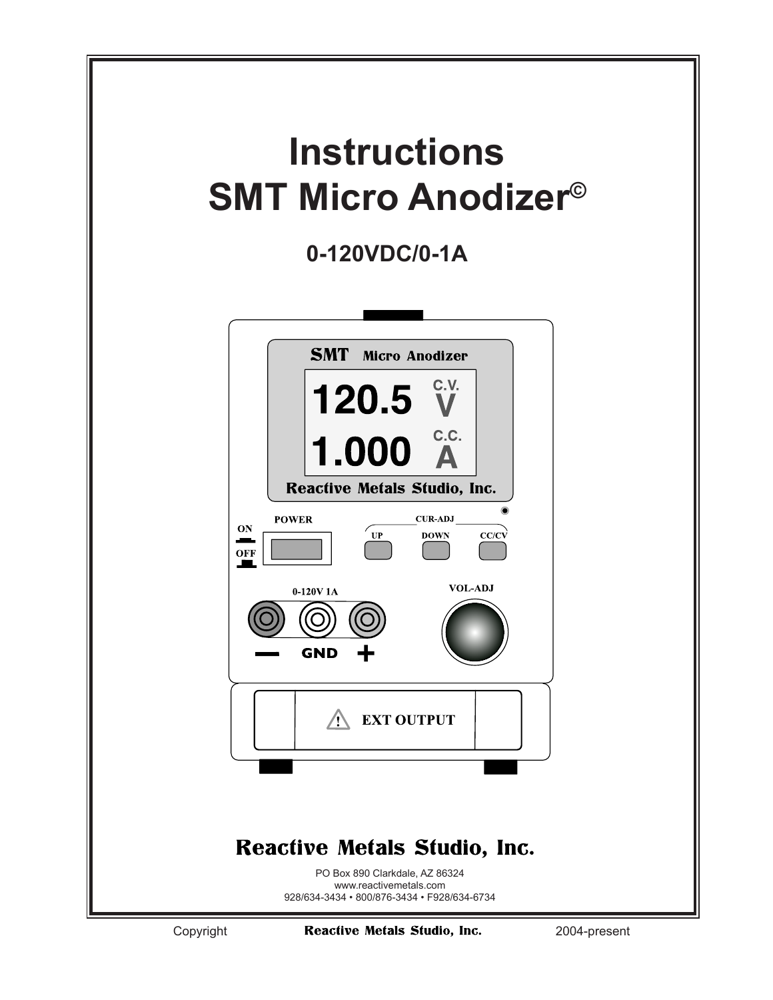

Copyright **Reactive Metals Studio, Inc.** 2004-present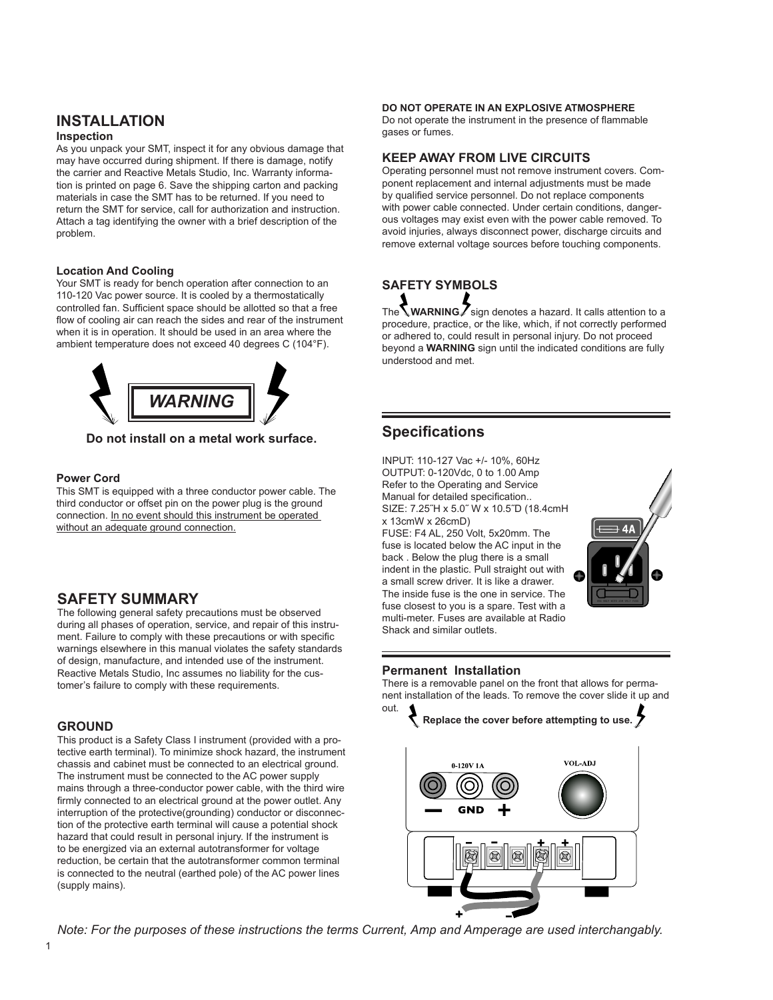# **INSTALLATION**

#### **Inspection**

As you unpack your SMT, inspect it for any obvious damage that may have occurred during shipment. If there is damage, notify the carrier and Reactive Metals Studio, Inc. Warranty information is printed on page 6. Save the shipping carton and packing materials in case the SMT has to be returned. If you need to return the SMT for service, call for authorization and instruction. Attach a tag identifying the owner with a brief description of the problem.

### **Location And Cooling**

Your SMT is ready for bench operation after connection to an 110-120 Vac power source. It is cooled by a thermostatically controlled fan. Sufficient space should be allotted so that a free flow of cooling air can reach the sides and rear of the instrument when it is in operation. It should be used in an area where the ambient temperature does not exceed 40 degrees C (104°F).



**Do not install on a metal work surface.**

### **Power Cord**

This SMT is equipped with a three conductor power cable. The third conductor or offset pin on the power plug is the ground connection. In no event should this instrument be operated without an adequate ground connection.

### **SAFETY SUMMARY**

The following general safety precautions must be observed during all phases of operation, service, and repair of this instrument. Failure to comply with these precautions or with specific warnings elsewhere in this manual violates the safety standards of design, manufacture, and intended use of the instrument. Reactive Metals Studio, Inc assumes no liability for the customer's failure to comply with these requirements.

### **GROUND**

This product is a Safety Class I instrument (provided with a protective earth terminal). To minimize shock hazard, the instrument chassis and cabinet must be connected to an electrical ground. The instrument must be connected to the AC power supply mains through a three-conductor power cable, with the third wire firmly connected to an electrical ground at the power outlet. Any interruption of the protective(grounding) conductor or disconnection of the protective earth terminal will cause a potential shock hazard that could result in personal injury. If the instrument is to be energized via an external autotransformer for voltage reduction, be certain that the autotransformer common terminal is connected to the neutral (earthed pole) of the AC power lines (supply mains).

#### **DO NOT OPERATE IN AN EXPLOSIVE ATMOSPHERE**

Do not operate the instrument in the presence of flammable gases or fumes.

### **KEEP AWAY FROM LIVE CIRCUITS**

Operating personnel must not remove instrument covers. Component replacement and internal adjustments must be made by qualified service personnel. Do not replace components with power cable connected. Under certain conditions, dangerous voltages may exist even with the power cable removed. To avoid injuries, always disconnect power, discharge circuits and remove external voltage sources before touching components.

# **SAFETY SYMBOLS**

The **WARNING** sign denotes a hazard. It calls attention to a procedure, practice, or the like, which, if not correctly performed or adhered to, could result in personal injury. Do not proceed beyond a **WARNING** sign until the indicated conditions are fully understood and met.

## **Specifications**

INPUT: 110-127 Vac +/- 10%, 60Hz OUTPUT: 0-120Vdc, 0 to 1.00 Amp Refer to the Operating and Service Manual for detailed specification.. SIZE: 7.25˝H x 5.0˝ W x 10.5˝D (18.4cmH x 13cmW x 26cmD)

FUSE: F4 AL, 250 Volt, 5x20mm. The fuse is located below the AC input in the back . Below the plug there is a small indent in the plastic. Pull straight out with a small screw driver. It is like a drawer. The inside fuse is the one in service. The fuse closest to you is a spare. Test with a multi-meter. Fuses are available at Radio Shack and similar outlets.



### **Permanent Installation**

There is a removable panel on the front that allows for permanent installation of the leads. To remove the cover slide it up and out.



*Note: For the purposes of these instructions the terms Current, Amp and Amperage are used interchangably.*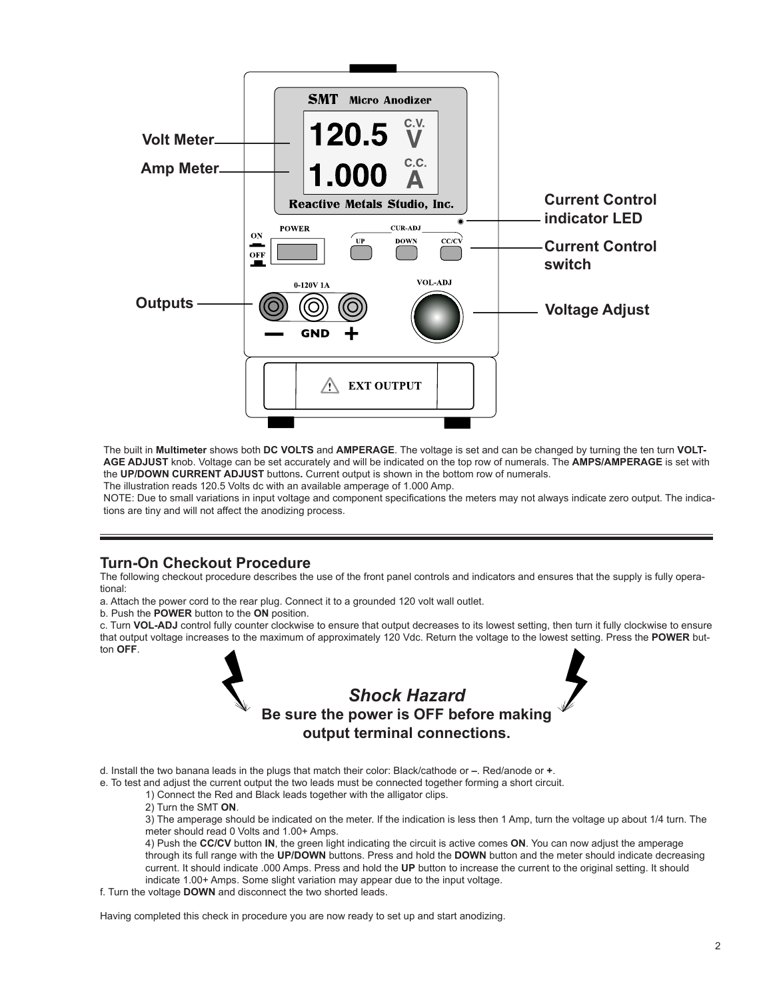

The built in **Multimeter** shows both **DC VOLTS** and **AMPERAGE**. The voltage is set and can be changed by turning the ten turn **VOLT-AGE ADJUST** knob. Voltage can be set accurately and will be indicated on the top row of numerals. The **AMPS/AMPERAGE** is set with the **UP/DOWN CURRENT ADJUST** buttons**.** Current output is shown in the bottom row of numerals.

The illustration reads 120.5 Volts dc with an available amperage of 1.000 Amp.

NOTE: Due to small variations in input voltage and component specifications the meters may not always indicate zero output. The indications are tiny and will not affect the anodizing process.

### **Turn-On Checkout Procedure**

The following checkout procedure describes the use of the front panel controls and indicators and ensures that the supply is fully operational:

a. Attach the power cord to the rear plug. Connect it to a grounded 120 volt wall outlet.

b. Push the **POWER** button to the **ON** position.

c. Turn **VOL-ADJ** control fully counter clockwise to ensure that output decreases to its lowest setting, then turn it fully clockwise to ensure that output voltage increases to the maximum of approximately 120 Vdc. Return the voltage to the lowest setting. Press the **POWER** button **OFF**.

# *Shock Hazard* **Be sure the power is OFF before making output terminal connections.**

d. Install the two banana leads in the plugs that match their color: Black/cathode or **–**. Red/anode or **+**.

e. To test and adjust the current output the two leads must be connected together forming a short circuit.

1) Connect the Red and Black leads together with the alligator clips.

2) Turn the SMT **ON**.

3) The amperage should be indicated on the meter. If the indication is less then 1 Amp, turn the voltage up about 1/4 turn. The meter should read 0 Volts and 1.00+ Amps.

4) Push the **CC/CV** button **IN**, the green light indicating the circuit is active comes **ON**. You can now adjust the amperage through its full range with the **UP/DOWN** buttons. Press and hold the **DOWN** button and the meter should indicate decreasing current. It should indicate .000 Amps. Press and hold the **UP** button to increase the current to the original setting. It should indicate 1.00+ Amps. Some slight variation may appear due to the input voltage.

f. Turn the voltage **DOWN** and disconnect the two shorted leads.

Having completed this check in procedure you are now ready to set up and start anodizing.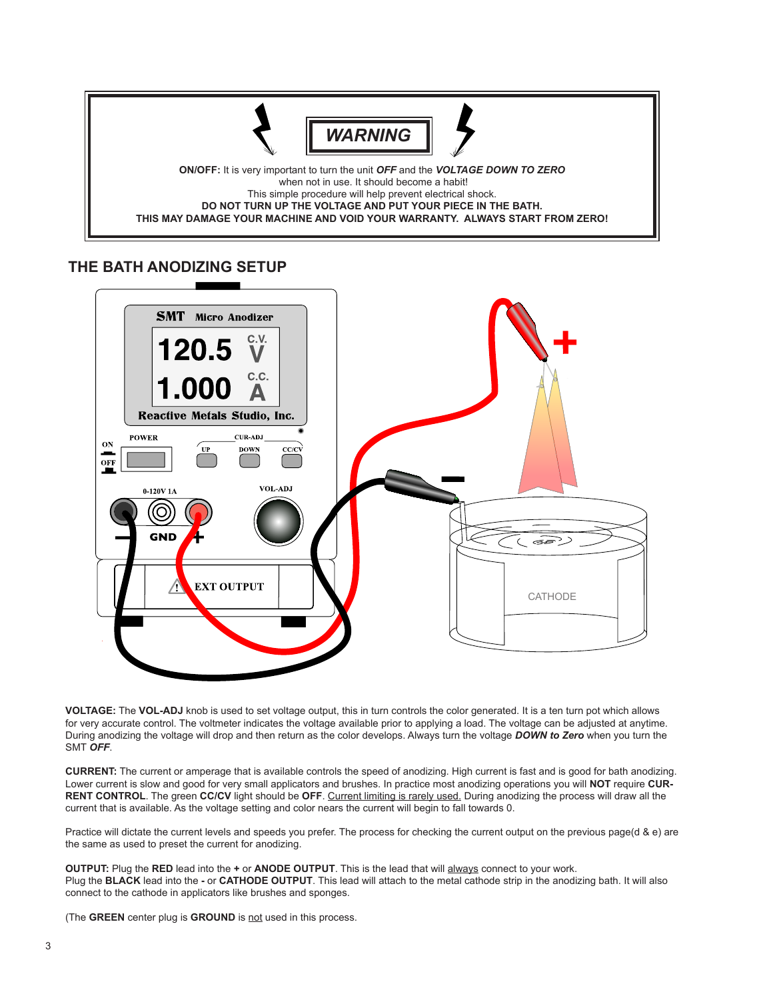

## **THE BATH ANODIZING SETUP**



**VOLTAGE:** The **VOL-ADJ** knob is used to set voltage output, this in turn controls the color generated. It is a ten turn pot which allows for very accurate control. The voltmeter indicates the voltage available prior to applying a load. The voltage can be adjusted at anytime. During anodizing the voltage will drop and then return as the color develops. Always turn the voltage *DOWN to Zero* when you turn the SMT *OFF*.

**CURRENT:** The current or amperage that is available controls the speed of anodizing. High current is fast and is good for bath anodizing. Lower current is slow and good for very small applicators and brushes. In practice most anodizing operations you will **NOT** require **CUR-RENT CONTROL**. The green **CC/CV** light should be **OFF**. Current limiting is rarely used. During anodizing the process will draw all the current that is available. As the voltage setting and color nears the current will begin to fall towards 0.

Practice will dictate the current levels and speeds you prefer. The process for checking the current output on the previous page(d & e) are the same as used to preset the current for anodizing.

**OUTPUT:** Plug the **RED** lead into the **+** or **ANODE OUTPUT**. This is the lead that will always connect to your work. Plug the **BLACK** lead into the **-** or **CATHODE OUTPUT**. This lead will attach to the metal cathode strip in the anodizing bath. It will also connect to the cathode in applicators like brushes and sponges.

(The **GREEN** center plug is **GROUND** is not used in this process.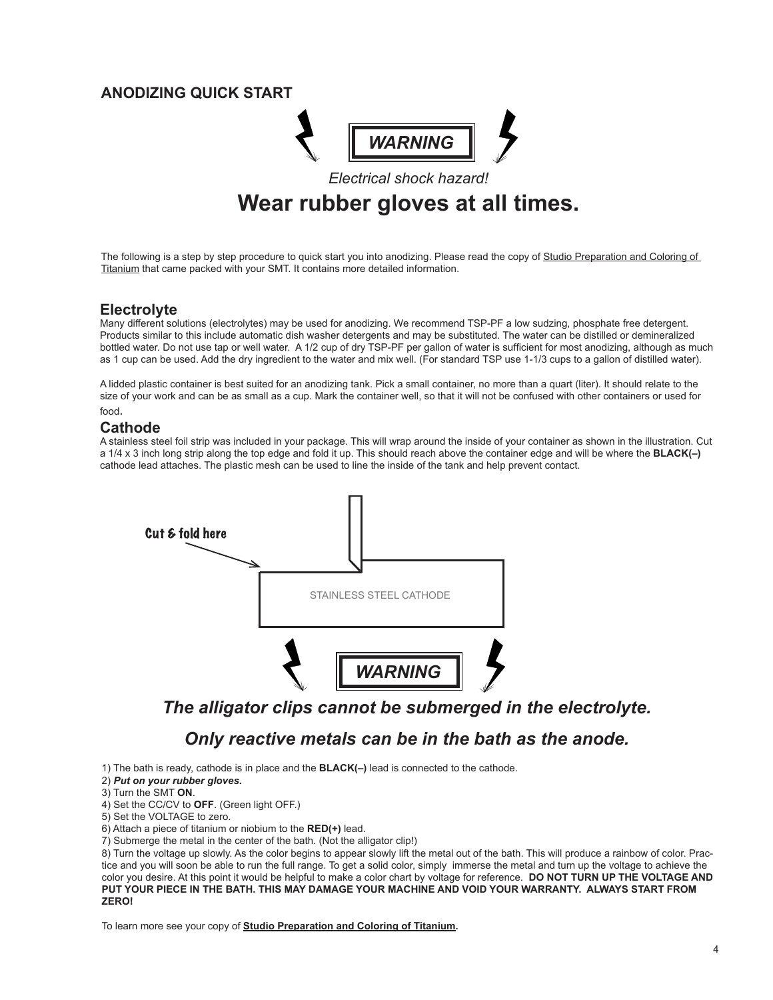## **ANODIZING QUICK START**



# *Electrical shock hazard!* **Wear rubber gloves at all times.**

The following is a step by step procedure to quick start you into anodizing. Please read the copy of Studio Preparation and Coloring of Titanium that came packed with your SMT. It contains more detailed information.

### **Electrolyte**

Many different solutions (electrolytes) may be used for anodizing. We recommend TSP-PF a low sudzing, phosphate free detergent. Products similar to this include automatic dish washer detergents and may be substituted. The water can be distilled or demineralized bottled water. Do not use tap or well water. A 1/2 cup of dry TSP-PF per gallon of water is sufficient for most anodizing, although as much as 1 cup can be used. Add the dry ingredient to the water and mix well. (For standard TSP use 1-1/3 cups to a gallon of distilled water).

A lidded plastic container is best suited for an anodizing tank. Pick a small container, no more than a quart (liter). It should relate to the size of your work and can be as small as a cup. Mark the container well, so that it will not be confused with other containers or used for food.

## **Cathode**

A stainless steel foil strip was included in your package. This will wrap around the inside of your container as shown in the illustration. Cut a 1/4 x 3 inch long strip along the top edge and fold it up. This should reach above the container edge and will be where the **BLACK(–)** cathode lead attaches. The plastic mesh can be used to line the inside of the tank and help prevent contact.



*The alligator clips cannot be submerged in the electrolyte.*

## *Only reactive metals can be in the bath as the anode.*

1) The bath is ready, cathode is in place and the **BLACK(–)** lead is connected to the cathode.

- 2) *Put on your rubber gloves.*
- 3) Turn the SMT **ON**.
- 4) Set the CC/CV to **OFF**. (Green light OFF.)
- 5) Set the VOLTAGE to zero.
- 6) Attach a piece of titanium or niobium to the **RED(+)** lead.
- 7) Submerge the metal in the center of the bath. (Not the alligator clip!)

8) Turn the voltage up slowly. As the color begins to appear slowly lift the metal out of the bath. This will produce a rainbow of color. Practice and you will soon be able to run the full range. To get a solid color, simply immerse the metal and turn up the voltage to achieve the color you desire. At this point it would be helpful to make a color chart by voltage for reference. **DO NOT TURN UP THE VOLTAGE AND PUT YOUR PIECE IN THE BATH. THIS MAY DAMAGE YOUR MACHINE AND VOID YOUR WARRANTY. ALWAYS START FROM ZERO!**

To learn more see your copy of **Studio Preparation and Coloring of Titanium.**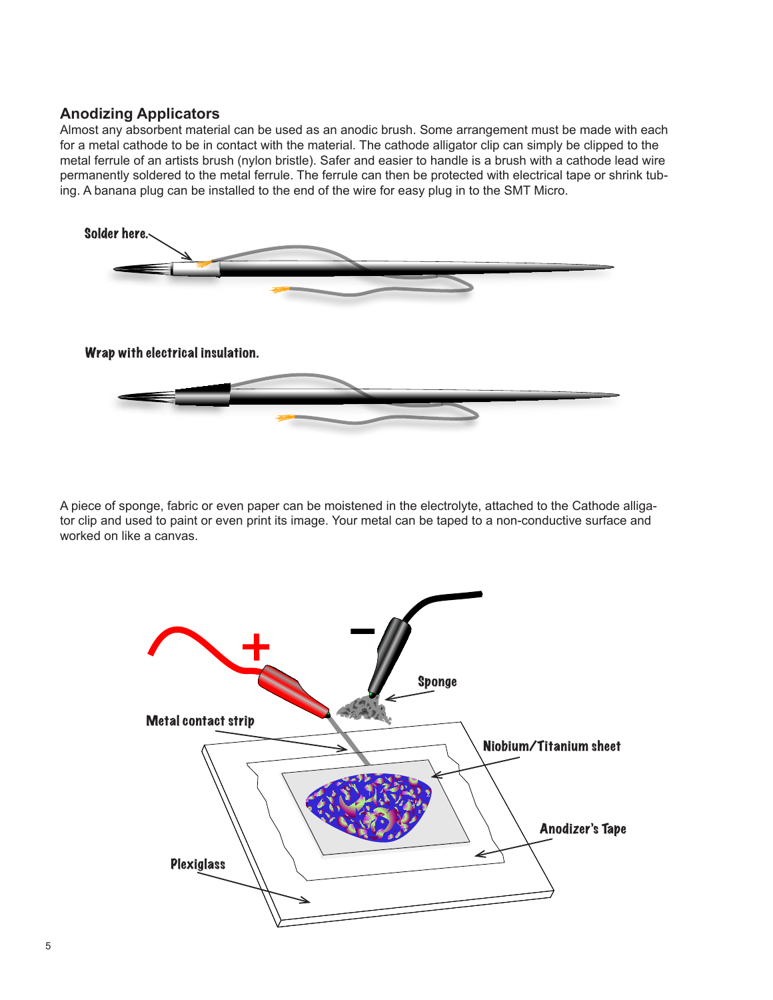## **Anodizing Applicators**

Almost any absorbent material can be used as an anodic brush. Some arrangement must be made with each for a metal cathode to be in contact with the material. The cathode alligator clip can simply be clipped to the metal ferrule of an artists brush (nylon bristle). Safer and easier to handle is a brush with a cathode lead wire permanently soldered to the metal ferrule. The ferrule can then be protected with electrical tape or shrink tubing. A banana plug can be installed to the end of the wire for easy plug in to the SMT Micro.



A piece of sponge, fabric or even paper can be moistened in the electrolyte, attached to the Cathode alligator clip and used to paint or even print its image. Your metal can be taped to a non-conductive surface and worked on like a canvas.